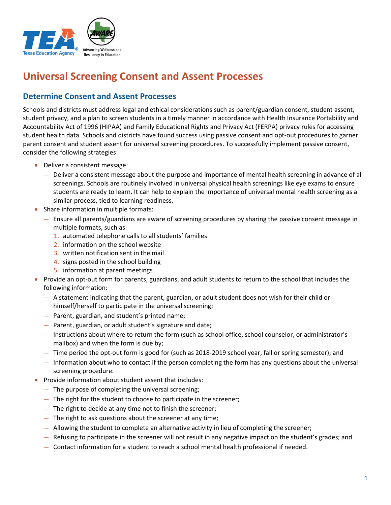

## **Universal Screening Consent and Assent Processes**

### **Determine Consent and Assent Processes**

Schools and districts must address legal and ethical considerations such as parent/guardian consent, student assent, student privacy, and a plan to screen students in a timely manner in accordance with Health Insurance Portability and Accountability Act of 1996 (HIPAA) and Family Educational Rights and Privacy Act (FERPA) privacy rules for accessing student health data. Schools and districts have found success using passive consent and opt-out procedures to garner parent consent and student assent for universal screening procedures. To successfully implement passive consent, consider the following strategies:

- Deliver a consistent message:
	- Deliver a consistent message about the purpose and importance of mental health screening in advance of all screenings. Schools are routinely involved in universal physical health screenings like eye exams to ensure students are ready to learn. It can help to explain the importance of universal mental health screening as a similar process, tied to learning readiness.
- Share information in multiple formats:
	- Ensure all parents/guardians are aware of screening procedures by sharing the passive consent message in multiple formats, such as:
		- 1. automated telephone calls to all students' families
		- 2. information on the school website
		- 3. written notification sent in the mail
		- 4. signs posted in the school building
		- 5. information at parent meetings
- Provide an opt-out form for parents, guardians, and adult students to return to the school that includes the following information:
	- A statement indicating that the parent, guardian, or adult student does not wish for their child or himself/herself to participate in the universal screening;
	- Parent, guardian, and student's printed name;
	- Parent, guardian, or adult student's signature and date;
	- Instructions about where to return the form (such as school office, school counselor, or administrator's mailbox) and when the form is due by;
	- Time period the opt-out form is good for (such as 2018-2019 school year, fall or spring semester); and
	- Information about who to contact if the person completing the form has any questions about the universal screening procedure.
- Provide information about student assent that includes:
	- The purpose of completing the universal screening;
	- The right for the student to choose to participate in the screener;
	- The right to decide at any time not to finish the screener;
	- The right to ask questions about the screener at any time;
	- Allowing the student to complete an alternative activity in lieu of completing the screener;
	- Refusing to participate in the screener will not result in any negative impact on the student's grades; and
	- Contact information for a student to reach a school mental health professional if needed.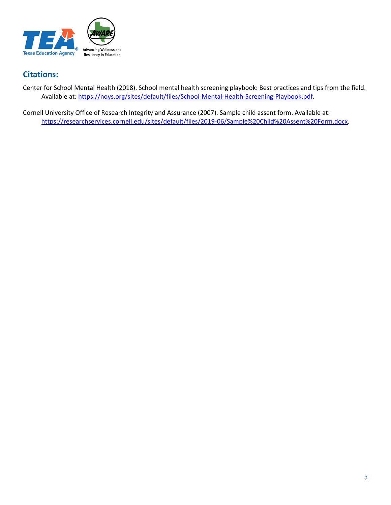

## **Citations:**

Center for School Mental Health (2018). School mental health screening playbook: Best practices and tips from the field. Available at: [https://noys.org/sites/default/files/School-Mental-Health-Screening-Playbook.pdf.](https://noys.org/sites/default/files/School-Mental-Health-Screening-Playbook.pdf)

Cornell University Office of Research Integrity and Assurance (2007). Sample child assent form. Available at: [https://researchservices.cornell.edu/sites/default/files/2019-06/Sample%20Child%20Assent%20Form.docx.](https://researchservices.cornell.edu/sites/default/files/2019-06/Sample%20Child%20Assent%20Form.docx)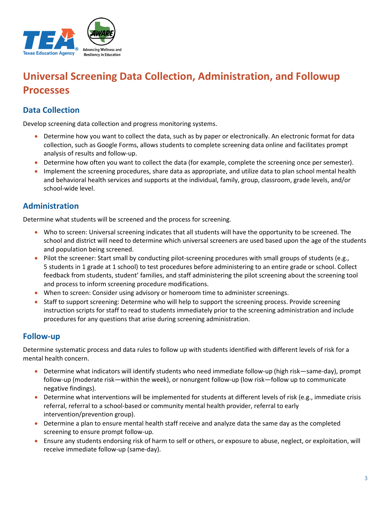

# **Universal Screening Data Collection, Administration, and Followup Processes**

## **Data Collection**

Develop screening data collection and progress monitoring systems.

- Determine how you want to collect the data, such as by paper or electronically. An electronic format for data collection, such as Google Forms, allows students to complete screening data online and facilitates prompt analysis of results and follow-up.
- Determine how often you want to collect the data (for example, complete the screening once per semester).
- Implement the screening procedures, share data as appropriate, and utilize data to plan school mental health and behavioral health services and supports at the individual, family, group, classroom, grade levels, and/or school-wide level.

#### **Administration**

Determine what students will be screened and the process for screening.

- Who to screen: Universal screening indicates that all students will have the opportunity to be screened. The school and district will need to determine which universal screeners are used based upon the age of the students and population being screened.
- Pilot the screener: Start small by conducting pilot-screening procedures with small groups of students (e.g., 5 students in 1 grade at 1 school) to test procedures before administering to an entire grade or school. Collect feedback from students, student' families, and staff administering the pilot screening about the screening tool and process to inform screening procedure modifications.
- When to screen: Consider using advisory or homeroom time to administer screenings.
- Staff to support screening: Determine who will help to support the screening process. Provide screening instruction scripts for staff to read to students immediately prior to the screening administration and include procedures for any questions that arise during screening administration.

#### **Follow-up**

Determine systematic process and data rules to follow up with students identified with different levels of risk for a mental health concern.

- Determine what indicators will identify students who need immediate follow-up (high risk—same-day), prompt follow-up (moderate risk—within the week), or nonurgent follow-up (low risk—follow up to communicate negative findings).
- Determine what interventions will be implemented for students at different levels of risk (e.g., immediate crisis referral, referral to a school-based or community mental health provider, referral to early intervention/prevention group).
- Determine a plan to ensure mental health staff receive and analyze data the same day as the completed screening to ensure prompt follow-up.
- Ensure any students endorsing risk of harm to self or others, or exposure to abuse, neglect, or exploitation, will receive immediate follow-up (same-day).